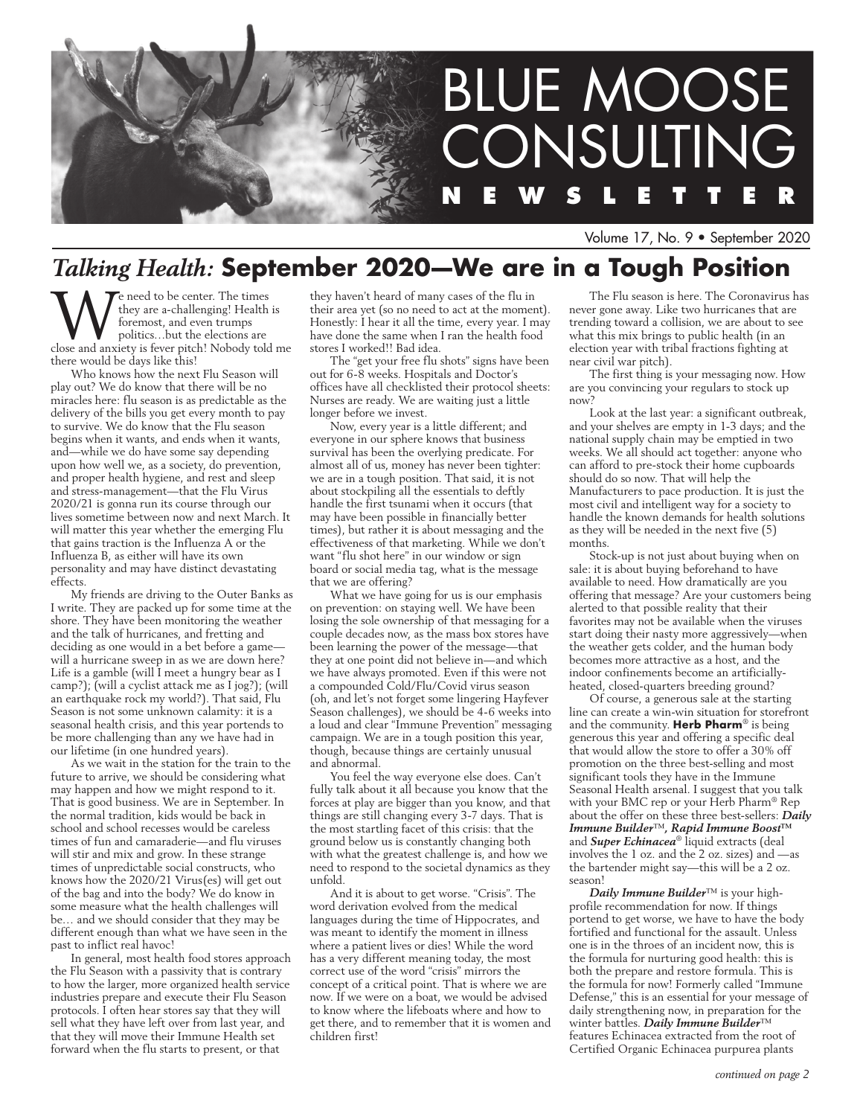

Volume 17, No. 9 • September 2020

# *Talking Health:* **September 2020—We are in a Tough Position**

We need to be center. The times<br>they are a-challenging! Health is<br>foremost, and even trumps<br>close and anxiety is fever pitch! Nobody told me they are a-challenging! Health is foremost, and even trumps politics…but the elections are there would be days like this!

Who knows how the next Flu Season will play out? We do know that there will be no miracles here: flu season is as predictable as the delivery of the bills you get every month to pay to survive. We do know that the Flu season begins when it wants, and ends when it wants, and—while we do have some say depending upon how well we, as a society, do prevention, and proper health hygiene, and rest and sleep and stress-management—that the Flu Virus 2020/21 is gonna run its course through our lives sometime between now and next March. It will matter this year whether the emerging Flu that gains traction is the Influenza A or the Influenza B, as either will have its own personality and may have distinct devastating effects.

My friends are driving to the Outer Banks as I write. They are packed up for some time at the shore. They have been monitoring the weather and the talk of hurricanes, and fretting and deciding as one would in a bet before a game will a hurricane sweep in as we are down here? Life is a gamble (will I meet a hungry bear as I camp?); (will a cyclist attack me as I jog?); (will an earthquake rock my world?). That said, Flu Season is not some unknown calamity: it is a seasonal health crisis, and this year portends to be more challenging than any we have had in our lifetime (in one hundred years).

As we wait in the station for the train to the future to arrive, we should be considering what may happen and how we might respond to it. That is good business. We are in September. In the normal tradition, kids would be back in school and school recesses would be careless times of fun and camaraderie—and flu viruses will stir and mix and grow. In these strange times of unpredictable social constructs, who knows how the 2020/21 Virus(es) will get out of the bag and into the body? We do know in some measure what the health challenges will be… and we should consider that they may be different enough than what we have seen in the past to inflict real havoc!

In general, most health food stores approach the Flu Season with a passivity that is contrary to how the larger, more organized health service industries prepare and execute their Flu Season protocols. I often hear stores say that they will sell what they have left over from last year, and that they will move their Immune Health set forward when the flu starts to present, or that

they haven't heard of many cases of the flu in their area yet (so no need to act at the moment). Honestly: I hear it all the time, every year. I may have done the same when I ran the health food stores I worked!! Bad idea.

The "get your free flu shots" signs have been out for 6-8 weeks. Hospitals and Doctor's offices have all checklisted their protocol sheets: Nurses are ready. We are waiting just a little longer before we invest.

Now, every year is a little different; and everyone in our sphere knows that business survival has been the overlying predicate. For almost all of us, money has never been tighter: we are in a tough position. That said, it is not about stockpiling all the essentials to deftly handle the first tsunami when it occurs (that may have been possible in financially better times), but rather it is about messaging and the effectiveness of that marketing. While we don't want "flu shot here" in our window or sign board or social media tag, what is the message that we are offering?

What we have going for us is our emphasis on prevention: on staying well. We have been losing the sole ownership of that messaging for a couple decades now, as the mass box stores have been learning the power of the message—that they at one point did not believe in—and which we have always promoted. Even if this were not a compounded Cold/Flu/Covid virus season (oh, and let's not forget some lingering Hayfever Season challenges), we should be 4-6 weeks into a loud and clear "Immune Prevention" messaging campaign. We are in a tough position this year, though, because things are certainly unusual and abnormal.

You feel the way everyone else does. Can't fully talk about it all because you know that the forces at play are bigger than you know, and that things are still changing every 3-7 days. That is the most startling facet of this crisis: that the ground below us is constantly changing both with what the greatest challenge is, and how we need to respond to the societal dynamics as they unfold.

And it is about to get worse. "Crisis". The word derivation evolved from the medical languages during the time of Hippocrates, and was meant to identify the moment in illness where a patient lives or dies! While the word has a very different meaning today, the most correct use of the word "crisis" mirrors the concept of a critical point. That is where we are now. If we were on a boat, we would be advised to know where the lifeboats where and how to get there, and to remember that it is women and children first!

The Flu season is here. The Coronavirus has never gone away. Like two hurricanes that are trending toward a collision, we are about to see what this mix brings to public health (in an election year with tribal fractions fighting at near civil war pitch).

The first thing is your messaging now. How are you convincing your regulars to stock up now?

Look at the last year: a significant outbreak, and your shelves are empty in 1-3 days; and the national supply chain may be emptied in two weeks. We all should act together: anyone who can afford to pre-stock their home cupboards should do so now. That will help the Manufacturers to pace production. It is just the most civil and intelligent way for a society to handle the known demands for health solutions as they will be needed in the next five (5) months.

Stock-up is not just about buying when on sale: it is about buying beforehand to have available to need. How dramatically are you offering that message? Are your customers being alerted to that possible reality that their favorites may not be available when the viruses start doing their nasty more aggressively—when the weather gets colder, and the human body becomes more attractive as a host, and the indoor confinements become an artificiallyheated, closed-quarters breeding ground?

Of course, a generous sale at the starting line can create a win-win situation for storefront and the community. **Herb Pharm**® is being generous this year and offering a specific deal that would allow the store to offer a 30% off promotion on the three best-selling and most significant tools they have in the Immune Seasonal Health arsenal. I suggest that you talk with your BMC rep or your Herb Pharm® Rep about the offer on these three best-sellers: *Daily Immune Builder*™*, Rapid Immune Boost™* and *Super Echinacea*® liquid extracts (deal involves the 1 oz. and the 2 oz. sizes) and —as the bartender might say—this will be a 2 oz. season!

*Daily Immune Builder*™ is your highprofile recommendation for now. If things portend to get worse, we have to have the body fortified and functional for the assault. Unless one is in the throes of an incident now, this is the formula for nurturing good health: this is both the prepare and restore formula. This is the formula for now! Formerly called "Immune Defense," this is an essential for your message of daily strengthening now, in preparation for the winter battles. *Daily Immune Builder*™ features Echinacea extracted from the root of Certified Organic Echinacea purpurea plants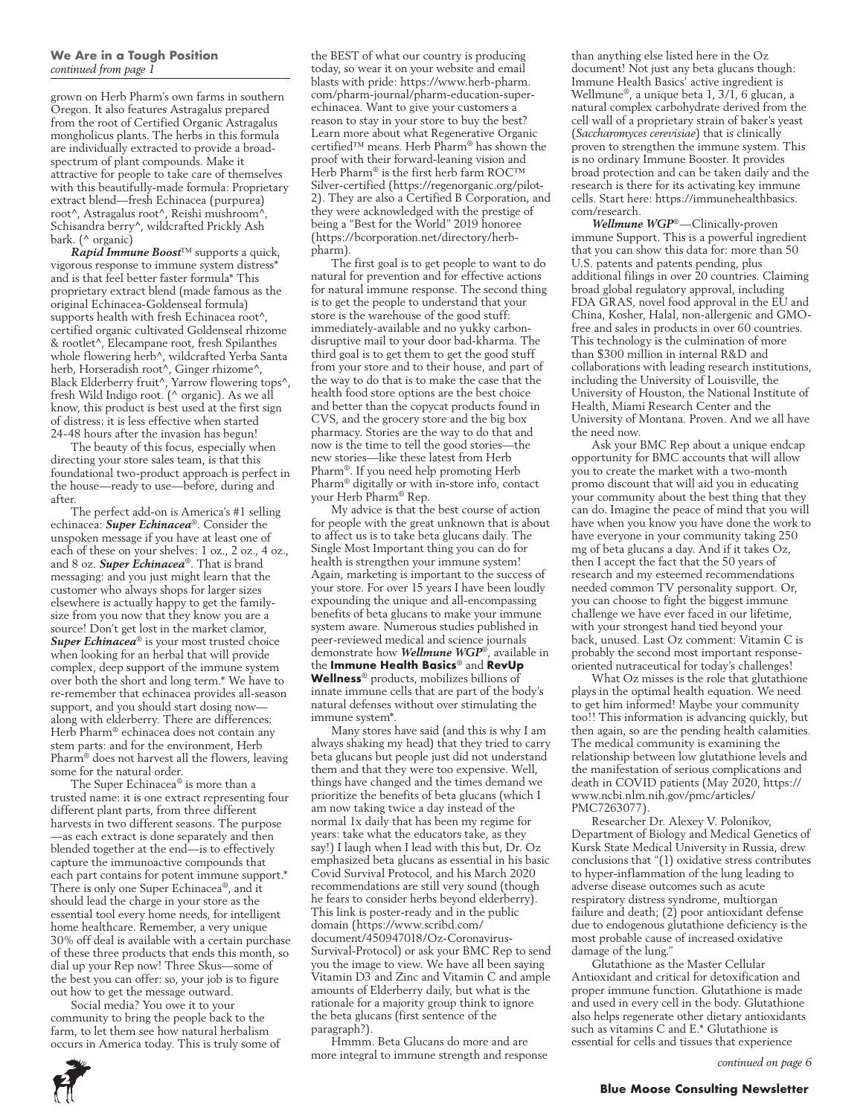grown on Herb Pharm's own farms in southern Oregon. It also features Astragalus prepared from the root of Certified Organic Astragalus mongholicus plants. The herbs in this formula are individually extracted to provide a broadspectrum of plant compounds. Make it attractive for people to take care of themselves with this beautifully-made formula: Proprietary extract blend—fresh Echinacea (purpurea) root^, Astragalus root^, Reishi mushroom^, Schisandra berry^, wildcrafted Prickly Ash bark. (^ organic)

*Rapid Immune Boost*™ supports a quick, vigorous response to immune system distress\* and is that feel better faster formula\* This proprietary extract blend (made famous as the original Echinacea-Goldenseal formula) supports health with fresh Echinacea root^, certified organic cultivated Goldenseal rhizome & rootlet^, Elecampane root, fresh Spilanthes whole flowering herb^, wildcrafted Yerba Santa herb, Horseradish root^, Ginger rhizome^, Black Elderberry fruit<sup>^</sup>, Yarrow flowering tops<sup>^</sup>, fresh Wild Indigo root. (^ organic). As we all know, this product is best used at the first sign of distress: it is less effective when started 24-48 hours after the invasion has begun!

The beauty of this focus, especially when directing your store sales team, is that this foundational two-product approach is perfect in the house—ready to use—before, during and after.

The perfect add-on is America's #1 selling echinacea: *Super Echinacea*®. Consider the unspoken message if you have at least one of each of these on your shelves: 1 oz., 2 oz., 4 oz., and 8 oz. *Super Echinacea*®. That is brand messaging: and you just might learn that the customer who always shops for larger sizes elsewhere is actually happy to get the familysize from you now that they know you are a source! Don't get lost in the market clamor, *Super Echinacea*® is your most trusted choice when looking for an herbal that will provide complex, deep support of the immune system over both the short and long term.\* We have to re-remember that echinacea provides all-season support, and you should start dosing now along with elderberry. There are differences: Herb Pharm® echinacea does not contain any stem parts: and for the environment, Herb Pharm® does not harvest all the flowers, leaving some for the natural order.

The Super Echinacea® is more than a trusted name: it is one extract representing four different plant parts, from three different harvests in two different seasons. The purpose —as each extract is done separately and then blended together at the end—is to effectively capture the immunoactive compounds that each part contains for potent immune support.\* There is only one Super Echinacea®, and it should lead the charge in your store as the essential tool every home needs, for intelligent home healthcare. Remember, a very unique 30% off deal is available with a certain purchase of these three products that ends this month, so dial up your Rep now! Three Skus—some of the best you can offer: so, your job is to figure out how to get the message outward.

Social media? You owe it to your community to bring the people back to the farm, to let them see how natural herbalism occurs in America today. This is truly some of the BEST of what our country is producing today, so wear it on your website and email blasts with pride: https://www.herb-pharm. com/pharm-journal/pharm-education-superechinacea. Want to give your customers a reason to stay in your store to buy the best? Learn more about what Regenerative Organic certified™ means. Herb Pharm® has shown the proof with their forward-leaning vision and Herb Pharm® is the first herb farm ROC™ Silver-certified (https://regenorganic.org/pilot-2). They are also a Certified B Corporation, and they were acknowledged with the prestige of being a "Best for the World" 2019 honoree (https://bcorporation.net/directory/herbpharm).

The first goal is to get people to want to do natural for prevention and for effective actions for natural immune response. The second thing is to get the people to understand that your store is the warehouse of the good stuff: immediately-available and no yukky carbondisruptive mail to your door bad-kharma. The third goal is to get them to get the good stuff from your store and to their house, and part of the way to do that is to make the case that the health food store options are the best choice and better than the copycat products found in CVS, and the grocery store and the big box pharmacy. Stories are the way to do that and now is the time to tell the good stories—the new stories—like these latest from Herb Pharm®. If you need help promoting Herb Pharm® digitally or with in-store info, contact your Herb Pharm® Rep.

My advice is that the best course of action for people with the great unknown that is about to affect us is to take beta glucans daily. The Single Most Important thing you can do for health is strengthen your immune system! Again, marketing is important to the success of your store. For over 15 years I have been loudly expounding the unique and all-encompassing benefits of beta glucans to make your immune system aware. Numerous studies published in peer-reviewed medical and science journals demonstrate how *Wellmune WGP*®, available in the **Immune Health Basics**® and **RevUp Wellness**® products, mobilizes billions of innate immune cells that are part of the body's natural defenses without over stimulating the immune system\*.

Many stores have said (and this is why I am always shaking my head) that they tried to carry beta glucans but people just did not understand them and that they were too expensive. Well, things have changed and the times demand we prioritize the benefits of beta glucans (which I am now taking twice a day instead of the normal 1x daily that has been my regime for years: take what the educators take, as they say!) I laugh when I lead with this but, Dr. Oz emphasized beta glucans as essential in his basic Covid Survival Protocol, and his March 2020 recommendations are still very sound (though he fears to consider herbs beyond elderberry). This link is poster-ready and in the public domain (https://www.scribd.com/ document/450947018/Oz-Coronavirus-Survival-Protocol) or ask your BMC Rep to send you the image to view. We have all been saying Vitamin D3 and Zinc and Vitamin C and ample amounts of Elderberry daily, but what is the rationale for a majority group think to ignore the beta glucans (first sentence of the paragraph?).

Hmmm. Beta Glucans do more and are more integral to immune strength and response than anything else listed here in the Oz document! Not just any beta glucans though: Immune Health Basics' active ingredient is Wellmune®, a unique beta 1, 3/1, 6 glucan, a natural complex carbohydrate derived from the cell wall of a proprietary strain of baker's yeast (*Saccharomyces cerevisiae*) that is clinically proven to strengthen the immune system. This is no ordinary Immune Booster. It provides broad protection and can be taken daily and the research is there for its activating key immune cells. Start here: https://immunehealthbasics. com/research.

*Wellmune WGP*®—Clinically-proven immune Support. This is a powerful ingredient that you can show this data for: more than 50 U.S. patents and patents pending, plus additional filings in over 20 countries. Claiming broad global regulatory approval, including FDA GRAS, novel food approval in the EU and China, Kosher, Halal, non-allergenic and GMOfree and sales in products in over 60 countries. This technology is the culmination of more than \$300 million in internal R&D and collaborations with leading research institutions, including the University of Louisville, the University of Houston, the National Institute of Health, Miami Research Center and the University of Montana. Proven. And we all have the need now.

Ask your BMC Rep about a unique endcap opportunity for BMC accounts that will allow you to create the market with a two-month promo discount that will aid you in educating your community about the best thing that they can do. Imagine the peace of mind that you will have when you know you have done the work to have everyone in your community taking 250 mg of beta glucans a day. And if it takes Oz, then I accept the fact that the 50 years of research and my esteemed recommendations needed common TV personality support. Or, you can choose to fight the biggest immune challenge we have ever faced in our lifetime, with your strongest hand tied beyond your back, unused. Last Oz comment: Vitamin C is probably the second most important responseoriented nutraceutical for today's challenges!

What Oz misses is the role that glutathione plays in the optimal health equation. We need to get him informed! Maybe your community too!! This information is advancing quickly, but then again, so are the pending health calamities. The medical community is examining the relationship between low glutathione levels and the manifestation of serious complications and death in COVID patients (May 2020, https:// www.ncbi.nlm.nih.gov/pmc/articles/ PMC7263077).

Researcher Dr. Alexey V. Polonikov, Department of Biology and Medical Genetics of Kursk State Medical University in Russia, drew conclusions that "(1) oxidative stress contributes to hyper-inflammation of the lung leading to adverse disease outcomes such as acute respiratory distress syndrome, multiorgan failure and death; (2) poor antioxidant defense due to endogenous glutathione deficiency is the most probable cause of increased oxidative damage of the lung."

Glutathione as the Master Cellular Antioxidant and critical for detoxification and proper immune function. Glutathione is made and used in every cell in the body. Glutathione also helps regenerate other dietary antioxidants such as vitamins C and E.\* Glutathione is essential for cells and tissues that experience

*continued on page 6*

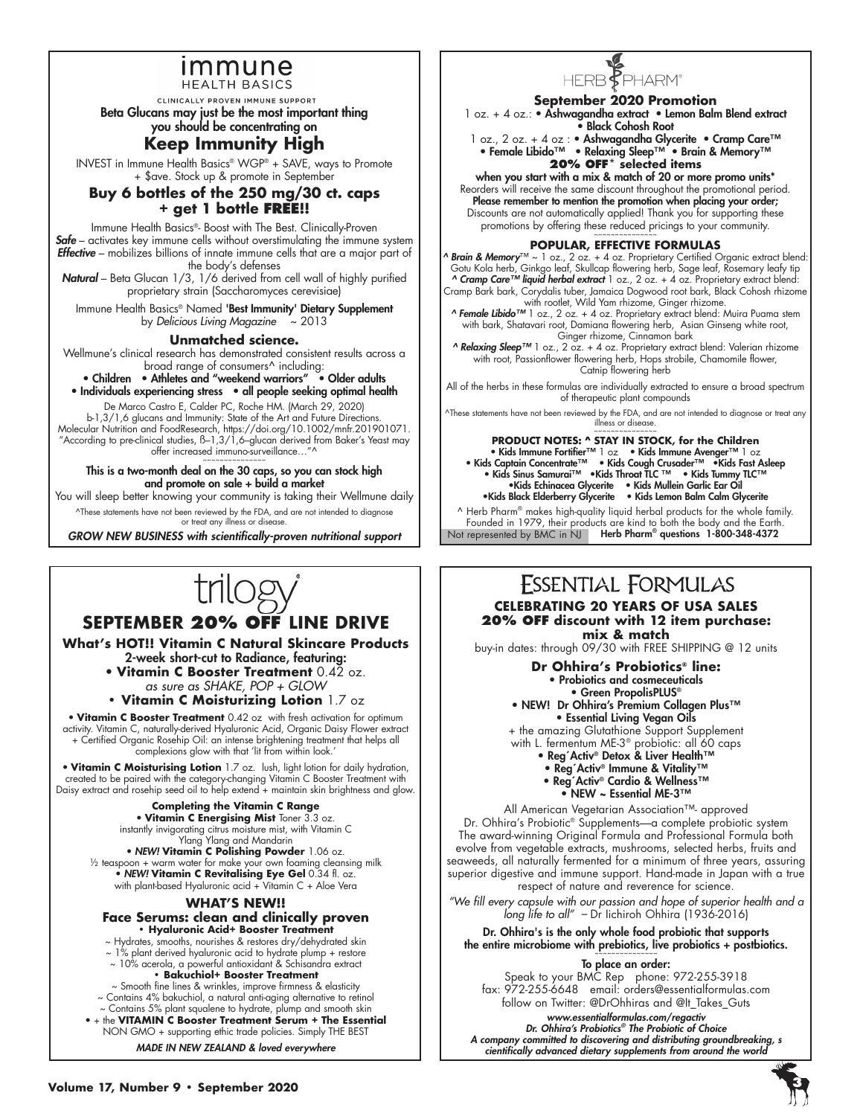### <u>Immune</u> **HEALTH BASICS**

CLINICALLY PROVEN IMMUNE SUPPORT

Beta Glucans may just be the most important thing

you should be concentrating on

### **Keep Immunity High**

INVEST in Immune Health Basics® WGP® + SAVE, ways to Promote + \$ave. Stock up & promote in September

### **Buy 6 bottles of the 250 mg/30 ct. caps + get 1 bottle FREE!!**

Immune Health Basics®- Boost with The Best. Clinically-Proven *Safe* – activates key immune cells without overstimulating the immune system *Effective* – mobilizes billions of innate immune cells that are a major part of the body's defenses

*Natural* – Beta Glucan 1/3, 1/6 derived from cell wall of highly purified proprietary strain (Saccharomyces cerevisiae)

Immune Health Basics® Named 'Best Immunity' Dietary Supplement by *Delicious Living Magazine* ~ 2013

**Unmatched science.** 

Wellmune's clinical research has demonstrated consistent results across a broad range of consumers^ including:

• Children • Athletes and "weekend warriors" • Older adults • Individuals experiencing stress • all people seeking optimal health

De Marco Castro E, Calder PC, Roche HM. (March 29, 2020) b-1,3/1,6 glucans and Immunity: State of the Art and Future Directions. Molecular Nutrition and FoodResearch, https://doi.org/10.1002/mnfr.201901071. "According to pre-clinical studies,  $B-1,3/1,6$ –glucan derived from Baker's Yeast may offer increased immuno-surveillance…"^ ~~~~~~~~~~~~~~~

This is a two-month deal on the 30 caps, so you can stock high and promote on sale + build a market

You will sleep better knowing your community is taking their Wellmune daily ^These statements have not been reviewed by the FDA, and are not intended to diagnose

or treat any illness or disease.

*GROW NEW BUSINESS with scientifically-proven nutritional support*

## **SEPTEMBER 20% OFF LINE DRIVE**

**What's HOT!! Vitamin C Natural Skincare Products** 2-week short-cut to Radiance, featuring:

• **Vitamin C Booster Treatment** 0.42 oz. *as sure as SHAKE, POP + GLOW*

**• Vitamin C Moisturizing Lotion** 1.7 oz

• **Vitamin C Booster Treatment** 0.42 oz with fresh activation for optimum activity. Vitamin C, naturally-derived Hyaluronic Acid, Organic Daisy Flower extract + Certified Organic Rosehip Oil: an intense brightening treatment that helps all complexions glow with that 'lit from within look.'

• **Vitamin C Moisturising Lotion** 1.7 oz. lush, light lotion for daily hydration, created to be paired with the category-changing Vitamin C Booster Treatment with Daisy extract and rosehip seed oil to help extend + maintain skin brightness and glow.

**Completing the Vitamin C Range** • **Vitamin C Energising Mist** Toner 3.3 oz. instantly invigorating citrus moisture mist, with Vitamin C

Ylang Ylang and Mandarin • *NEW!* **Vitamin C Polishing Powder** 1.06 oz.  $\frac{1}{2}$  teaspoon + warm water for make your own foaming cleansing milk • *NEW!* **Vitamin C Revitalising Eye Gel** 0.34 fl. oz. with plant-based Hyaluronic acid + Vitamin C + Aloe Vera

#### **WHAT'S NEW!!**

#### **Face Serums: clean and clinically proven • Hyaluronic Acid+ Booster Treatment**

~ Hydrates, smooths, nourishes & restores dry/dehydrated skin

~ 1% plant derived hyaluronic acid to hydrate plump + restore ~ 10% acerola, a powerful antioxidant & Schisandra extract

**• Bakuchiol+ Booster Treatment**

~ Smooth fine lines & wrinkles, improve firmness & elasticity ~ Contains 4% bakuchiol, a natural anti-aging alternative to retinol

~ Contains 5% plant squalene to hydrate, plump and smooth skin • + the **VITAMIN C Booster Treatment Serum + The Essential** NON GMO + supporting ethic trade policies. Simply THE BEST

*MADE IN NEW ZEALAND & loved everywhere*



### **September 2020 Promotion**

1 oz. + 4 oz.: • Ashwagandha extract • Lemon Balm Blend extract • Black Cohosh Root

1 oz., 2 oz. + 4 oz : • Ashwagandha Glycerite • Cramp Care<sup>™</sup> • Female Libido™ • Relaxing Sleep™ • Brain & Memory™ **20% OFF\* selected items**

when you start with a mix & match of 20 or more promo units\* Reorders will receive the same discount throughout the promotional period. Please remember to mention the promotion when placing your order; Discounts are not automatically applied! Thank you for supporting these

promotions by offering these reduced pricings to your community.

### **POPULAR, EFFECTIVE FORMULAS**

*^ Brain & Memory*™ ~ 1 oz., 2 oz. + 4 oz. Proprietary Certified Organic extract blend: Gotu Kola herb, Ginkgo leaf, Skullcap flowering herb, Sage leaf, Rosemary leafy tip<br>**^ Cramp Care™ liquid herbal extract** 1 oz., 2 oz. + 4 oz. Proprietary extract blend: Cramp Bark bark, Corydalis tuber, Jamaica Dogwood root bark, Black Cohosh rhizome

with rootlet, Wild Yam rhizome, Ginger rhizome.<br>**^ Female Libido™** 1 oz., 2 oz. + 4 oz. Proprietary extract blend: Muira Puama stem with bark, Shatavari root, Damiana flowering herb, Asian Ginseng white root,

Ginger rhizome, Cinnamon bark *^ Relaxing Sleep™* 1 oz., 2 oz. + 4 oz. Proprietary extract blend: Valerian rhizome with root, Passionflower flowering herb, Hops strobile, Chamomile flower, Catnip flowering herb

All of the herbs in these formulas are individually extracted to ensure a broad spectrum of therapeutic plant compounds

^These statements have not been reviewed by the FDA, and are not intended to diagnose or treat any illness or disease.

~~~~~~~~~~~~~~~ **PRODUCT NOTES: ^ STAY IN STOCK, for the Children**

• Kids Immune Fortifier™ 1 oz • Kids Immune Avenger™ 1 oz • Kids Captain Concentrate™ • Kids Cough Crusader™ •Kids Fast Asleep • Kids Sinus Samurai™ •Kids Throat TLC ™ • Kids Tummy TLC™ •Kids Echinacea Glycerite • Kids Mullein Garlic Ear Oil •Kids Black Elderberry Glycerite • Kids Lemon Balm Calm Glycerite

Not represented by BMC in NJ Herb Pharm® questions 1-800-348-4372 ^ Herb Pharm® makes high-quality liquid herbal products for the whole family. Founded in 1979, their products are kind to both the body and the Earth.

### **ESSENTIAL FORMULAS CELEBRATING 20 YEARS OF USA SALES 20% OFF discount with 12 item purchase: mix & match**

buy-in dates: through 09/30 with FREE SHIPPING @ 12 units

**Dr Ohhira's Probiotics® line:** • Probiotics and cosmeceuticals • Green PropolisPLUS®

• NEW! Dr Ohhira's Premium Collagen Plus™ • Essential Living Vegan Oils

+ the amazing Glutathione Support Supplement with L. fermentum ME-3® probiotic: all 60 caps

- Reg´Activ® Detox & Liver Health™
- Reg´Activ® Immune & Vitality™
- Reg´Activ® Cardio & Wellness™
	- NEW ~ Essential ME-3™

All American Vegetarian Association™- approved Dr. Ohhira's Probiotic® Supplements—a complete probiotic system The award-winning Original Formula and Professional Formula both evolve from vegetable extracts, mushrooms, selected herbs, fruits and seaweeds, all naturally fermented for a minimum of three years, assuring superior digestive and immune support. Hand-made in Japan with a true respect of nature and reverence for science.

*"We fill every capsule with our passion and hope of superior health and a long life to all" –* Dr Iichiroh Ohhira (1936-2016)

Dr. Ohhira's is the only whole food probiotic that supports the entire microbiome with prebiotics, live probiotics + postbiotics.

To place an order:

Speak to your BMC Rep phone: 972-255-3918 fax: 972-255-6648 email: orders@essentialformulas.com follow on Twitter: @DrOhhiras and @It\_Takes\_Guts

*www.essentialformulas.com/regactiv* 

*Dr. Ohhira's Probiotics® The Probiotic of Choice A company committed to discovering and distributing groundbreaking, s cientifically advanced dietary supplements from around the world*

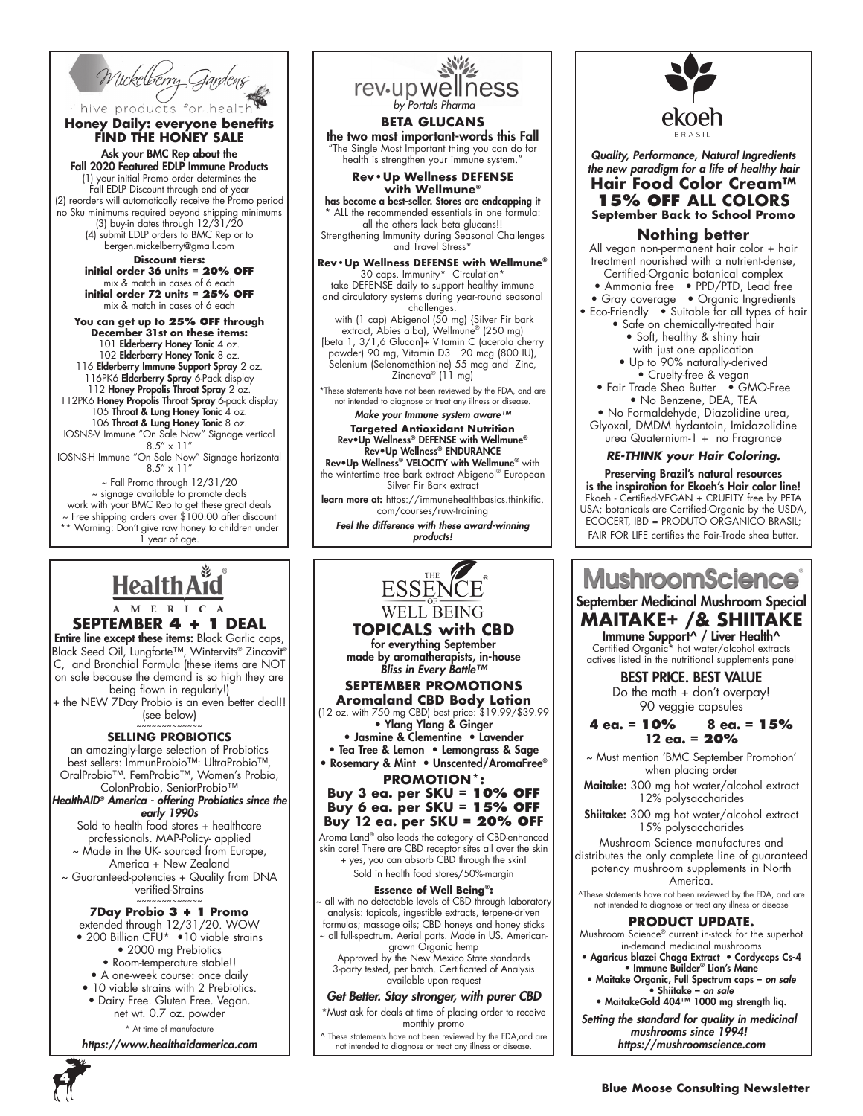Wickelberry Gardens

hive products for health **Honey Daily: everyone benefits FIND THE HONEY SALE**

Ask your BMC Rep about the Fall 2020 Featured EDLP Immune Products (1) your initial Promo order determines the Fall EDLP Discount through end of year (2) reorders will automatically receive the Promo period

no Sku minimums required beyond shipping minimums (3) buy-in dates through 12/31/20 (4) submit EDLP orders to BMC Rep or to bergen.mickelberry@gmail.com

#### **Discount tiers: initial order 36 units = 20% OFF** mix & match in cases of 6 each **initial order 72 units = 25% OFF** mix & match in cases of 6 each

#### **You can get up to 25% OFF through**

**December 31st on these items:** 101 Elderberry Honey Tonic 4 oz. 102 Elderberry Honey Tonic 8 oz. 116 Elderberry Immune Support Spray 2 oz. 116PK6 **Elderberry Spray** 6-Pack display 112 Honey Propolis Throat Spray 2 oz. 112PK6 Honey Propolis Throat Spray 6-pack display 105 Throat & Lung Honey Tonic 4 oz. 106 Throat & Lung Honey Tonic 8 oz. IOSNS-V Immune "On Sale Now" Signage vertical

8.5" x 11" IOSNS-H Immune "On Sale Now" Signage horizontal  $8.5'' \times 11'$ 

~ Fall Promo through 12/31/20 ~ signage available to promote deals work with your BMC Rep to get these great deals ~ Free shipping orders over \$100.00 after discount \*\* Warning: Don't give raw honey to children under 1 year of age.

## Health Aid M E R I C

#### **SEPTEMBER 4 + 1 DEAL**

Entire line except these items: Black Garlic caps, Black Seed Oil, Lungforte™, Wintervits® Zincovit® C, and Bronchial Formula (these items are NOT on sale because the demand is so high they are being flown in regularly!)

+ the NEW 7Day Probio is an even better deal!! (see below) ~~~~~~~~~~~~~

### **SELLING PROBIOTICS**

an amazingly-large selection of Probiotics best sellers: ImmunProbio™: UltraProbio™, OralProbio™. FemProbio™, Women's Probio, ColonProbio, SeniorProbio™

*HealthAID® America - offering Probiotics since the early 1990s*

Sold to health food stores + healthcare professionals. MAP-Policy- applied

~ Made in the UK- sourced from Europe, America + New Zealand

~ Guaranteed-potencies + Quality from DNA verified-Strains

#### ~~~~~~~~~~~~~ **7Day Probio 3 + 1 Promo**

extended through 12/31/20. WOW

- 200 Billion CFU\* 10 viable strains • 2000 mg Prebiotics
	- Room-temperature stable!!
	- A one-week course: once daily
- 10 viable strains with 2 Prebiotics.
- Dairy Free. Gluten Free. Vegan. net wt. 0.7 oz. powder

\* At time of manufacture

*https://www.healthaidamerica.com*



[beta 1, 3/1,6 Glucan]+ Vitamin C (acerola cherry powder) 90 mg, Vitamin D3 20 mcg (800 IU), Selenium (Selenomethionine) 55 mcg and Zinc, Zincnova<sup>®</sup> (11 mg)

\*These statements have not been reviewed by the FDA, and are not intended to diagnose or treat any illness or disea

#### *Make your Immune system aware™* **Targeted Antioxidant Nutrition** Rev•Up Wellness® DEFENSE with Wellmune®

Rev•Up Wellness® ENDURANCE Rev•Up Wellness® VELOCITY with Wellmune® with the wintertime tree bark extract Abigenol® European Silver Fir Bark extract

learn more at: https://immunehealthbasics.thinkific. com/courses/ruw-training

*Feel the difference with these award-winning products!*



### **TOPICALS with CBD**

for everything September made by aromatherapists, in-house *Bliss in Every Bottle™*

#### **SEPTEMBER PROMOTIONS Aromaland CBD Body Lotion**

(12 oz. with 750 mg CBD) best price: \$19.99/\$39.99 • Ylang Ylang & Ginger

• Jasmine & Clementine • Lavender

• Tea Tree & Lemon • Lemongrass & Sage • Rosemary & Mint • Unscented/AromaFree®

**PROMOTION\*:**

#### **Buy 3 ea. per SKU = 10% OFF Buy 6 ea. per SKU = 15% OFF Buy 12 ea. per SKU = 20% OFF**

Aroma Land® also leads the category of CBD-enhanced skin care! There are CBD receptor sites all over the skin

+ yes, you can absorb CBD through the skin! Sold in health food stores/50%-margin

#### **Essence of Well Being®:**

~ all with no detectable levels of CBD through laboratory analysis: topicals, ingestible extracts, terpene-driven formulas; massage oils; CBD honeys and honey sticks ~ all full-spectrum. Aerial parts. Made in US. Americangrown Organic hemp

Approved by the New Mexico State standards 3-party tested, per batch. Certificated of Analysis available upon request

#### *Get Better. Stay stronger, with purer CBD*

\*Must ask for deals at time of placing order to receive monthly promo

^ These statements have not been reviewed by the FDA,and are not intended to diagnose or treat any illness or disease.



*Quality, Performance, Natural Ingredients the new paradigm for a life of healthy hair* **Hair Food Color Cream™ 15% OFF ALL COLORS September Back to School Promo**

### **Nothing better**

All vegan non-permanent hair color + hair treatment nourished with a nutrient-dense, Certified-Organic botanical complex

- Ammonia free PPD/PTD, Lead free
- Gray coverage Organic Ingredients
- Eco-Friendly Suitable for all types of hair • Safe on chemically-treated hair
	- Soft, healthy & shiny hair with just one application
	- Up to 90% naturally-derived • Cruelty-free & vegan

• Fair Trade Shea Butter • GMO-Free • No Benzene, DEA, TEA

• No Formaldehyde, Diazolidine urea, Glyoxal, DMDM hydantoin, Imidazolidine urea Quaternium-1 + no Fragrance

#### *RE-THINK your Hair Coloring.*

Preserving Brazil's natural resources is the inspiration for Ekoeh's Hair color line! Ekoeh - Certified-VEGAN + CRUELTY free by PETA USA; botanicals are Certified-Organic by the USDA, ECOCERT, IBD = PRODUTO ORGANICO BRASIL; FAIR FOR LIFE certifies the Fair-Trade shea butter.

## **MushroomScience** September Medicinal Mushroom Special **MAITAKE+ /& SHIITAKE**

Immune Support^ / Liver Health^ Certified Organic\* hot water/alcohol extracts actives listed in the nutritional supplements panel

### BEST PRICE. BEST VALUE

Do the math + don't overpay! 90 veggie capsules

#### **4 ea. = 10% 8 ea. = 15% 12 ea. = 20%**

~ Must mention 'BMC September Promotion' when placing order

- Maitake: 300 mg hot water/alcohol extract 12% polysaccharides
- Shiitake: 300 mg hot water/alcohol extract 15% polysaccharides

Mushroom Science manufactures and distributes the only complete line of guaranteed potency mushroom supplements in North America.

^These statements have not been reviewed by the FDA, and are not intended to diagnose or treat any illness or disease

### **PRODUCT UPDATE.**

Mushroom Science® current in-stock for the superhot in-demand medicinal mushrooms

- Agaricus blazei Chaga Extract Cordyceps Cs-4 • Immune Builder® Lion's Mane
- Maitake Organic, Full Spectrum caps *on sale* • Shiitake – *on sale*

• MaitakeGold 404™ 1000 mg strength liq. *Setting the standard for quality in medicinal* 

*mushrooms since 1994! https://mushroomscience.com*

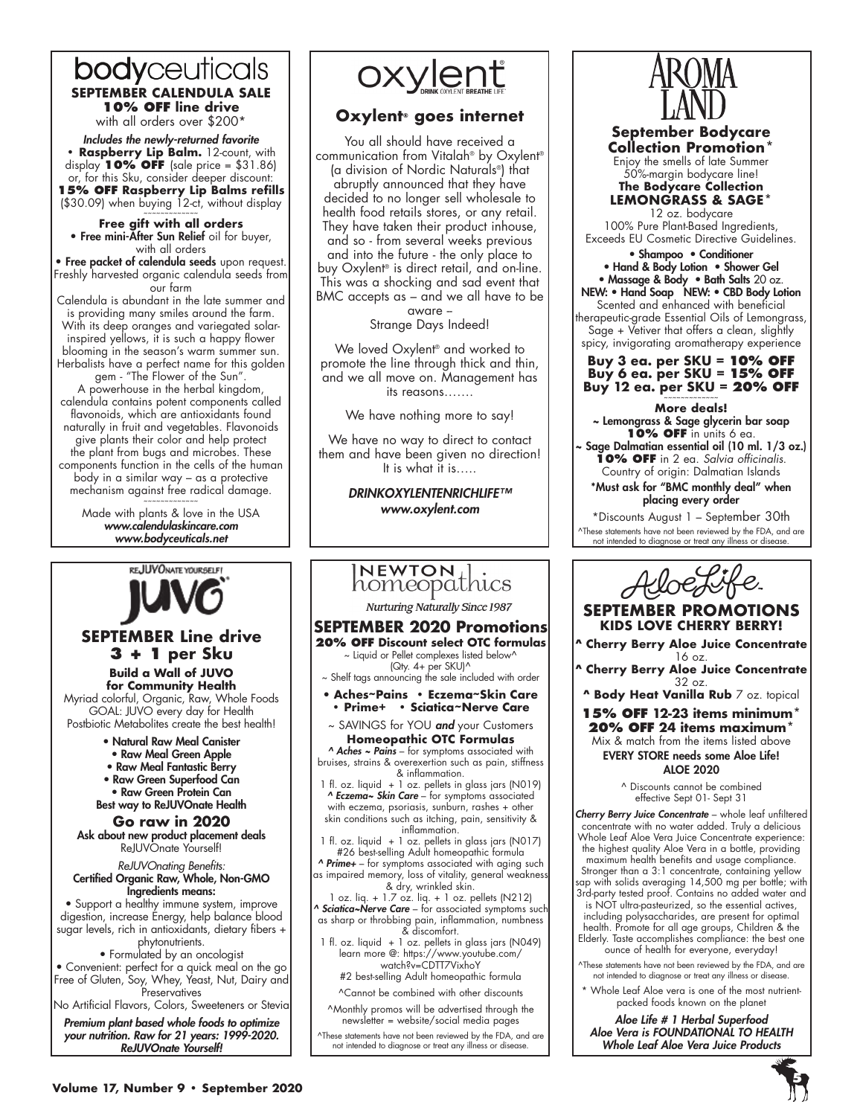### bodyceuticals **SEPTEMBER CALENDULA SALE 10% OFF line drive** with all orders over \$200\*

*Includes the newly-returned favorite* **• Raspberry Lip Balm.** 12-count, with display **10% OFF** (sale price = \$31.86) or, for this Sku, consider deeper discount: **15% OFF Raspberry Lip Balms refills**  (\$30.09) when buying 12-ct, without display

~~~~~~~~~~~~~ **Free gift with all orders** • Free mini-After Sun Relief oil for buyer, with all orders

• Free packet of calendula seeds upon request. Freshly harvested organic calendula seeds from our farm

Calendula is abundant in the late summer and is providing many smiles around the farm. With its deep oranges and variegated solarinspired yellows, it is such a happy flower blooming in the season's warm summer sun. Herbalists have a perfect name for this golden

gem - "The Flower of the Sun". A powerhouse in the herbal kingdom, calendula contains potent components called flavonoids, which are antioxidants found naturally in fruit and vegetables. Flavonoids give plants their color and help protect the plant from bugs and microbes. These components function in the cells of the human body in a similar way – as a protective mechanism against free radical damage. ~~~~~~~~~~~~~

Made with plants & love in the USA *www.calendulaskincare.com www.bodyceuticals.net*



## **SEPTEMBER Line drive 3 + 1 per Sku**

**Build a Wall of JUVO for Community Health**

Myriad colorful, Organic, Raw, Whole Foods GOAL: JUVO every day for Health Postbiotic Metabolites create the best health!

- Natural Raw Meal Canister
- Raw Meal Green Apple
- Raw Meal Fantastic Berry
- Raw Green Superfood Can
- Raw Green Protein Can
- Best way to ReJUVOnate Health

**Go raw in 2020** Ask about new product placement deals ReJUVOnate Yourself!

*ReJUVOnating Benefits:* Certified Organic Raw, Whole, Non-GMO

Ingredients means: • Support a healthy immune system, improve digestion, increase Energy, help balance blood sugar levels, rich in antioxidants, dietary fibers +

### phytonutrients.

• Formulated by an oncologist

• Convenient: perfect for a quick meal on the go Free of Gluten, Soy, Whey, Yeast, Nut, Dairy and **Preservatives** 

No Artificial Flavors, Colors, Sweeteners or Stevia

*Premium plant based whole foods to optimize your nutrition. Raw for 21 years: 1999-2020. ReJUVOnate Yourself!*

oxylent

### **Oxylent® goes internet**

You all should have received a communication from Vitalah® by Oxylent® (a division of Nordic Naturals®) that abruptly announced that they have decided to no longer sell wholesale to health food retails stores, or any retail. They have taken their product inhouse, and so - from several weeks previous and into the future - the only place to buy Oxylent® is direct retail, and on-line. This was a shocking and sad event that BMC accepts as – and we all have to be aware --

Strange Days Indeed!

We loved Oxylent® and worked to promote the line through thick and thin, and we all move on. Management has its reasons…….

We have nothing more to say!

We have no way to direct to contact them and have been given no direction! It is what it is…..

> *DRINKOXYLENTENRICHLIFE™ www.oxylent.com*

### NEWTON homeopathics

**Nurturing Naturally Since 1987** 

#### **SEPTEMBER 2020 Promotions 20% OFF Discount select OTC formulas**

~ Liquid or Pellet complexes listed below^ (Qty. 4+ per SKU)^

~ Shelf tags announcing the sale included with order • **Aches~Pains • Eczema~Skin Care** 

- **Prime+ Sciatica~Nerve Care**
- ~ SAVINGS for YOU *and* your Customers **Homeopathic OTC Formulas**

*^ Aches ~ Pains* – for symptoms associated with bruises, strains & overexertion such as pain, stiffness & inflammation.

1 fl. oz. liquid + 1 oz. pellets in glass jars (N019) *^ Eczema~ Skin Care* – for symptoms associated with eczema, psoriasis, sunburn, rashes + other skin conditions such as itching, pain, sensitivity & inflammation.

- 1 fl. oz. liquid + 1 oz. pellets in glass jars (N017) #26 best-selling Adult homeopathic formula
- *^ Prime+*  for symptoms associated with aging such as impaired memory, loss of vitality, general weakness
- & dry, wrinkled skin. 1 oz. liq. + 1.7 oz. liq. + 1 oz. pellets (N212) *^ Sciatica~Nerve Care* – for associated symptoms such

as sharp or throbbing pain, inflammation, numbness & discomfort.

1 fl. oz. liquid  $+1$  oz. pellets in glass jars (N049) learn more @: https://www.youtube.com/ watch?v=CDTT7VixhoY #2 best-selling Adult homeopathic formula

^Cannot be combined with other discounts

^Monthly promos will be advertised through the newsletter = website/social media pages

^These statements have not been reviewed by the FDA, and are not intended to diagnose or treat any illness or disease.



### **September Bodycare Collection Promotion\***

Enjoy the smells of late Summer 50%-margin bodycare line! **The Bodycare Collection LEMONGRASS & SAGE\*** 

12 oz. bodycare 100% Pure Plant-Based Ingredients, Exceeds EU Cosmetic Directive Guidelines.

• Shampoo • Conditioner • Hand & Body Lotion • Shower Gel • Massage & Body • Bath Salts 20 oz. NEW: • Hand Soap NEW: • CBD Body Lotion Scented and enhanced with beneficial therapeutic-grade Essential Oils of Lemongrass, Sage + Vetiver that offers a clean, slightly spicy, invigorating aromatherapy experience

**Buy 3 ea. per SKU = 10% OFF Buy 6 ea. per SKU = 15% OFF Buy 12 ea. per SKU = 20% OFF** 

### **More deals!**

~ Lemongrass & Sage glycerin bar soap **10% OFF** in units 6 ea. Sage Dalmatian essential oil (10 ml. 1/3 oz.)

**10% OFF** in 2 ea. *Salvia officinalis*. Country of origin: Dalmatian Islands

\*Must ask for "BMC monthly deal" when placing every order

\*Discounts August 1 – September 30th ^These statements have not been reviewed by the FDA, and are not intended to diagnose or treat any illness or disease.



**SEPTEMBER PROMOTIONS KIDS LOVE CHERRY BERRY!**

**^ Cherry Berry Aloe Juice Concentrate**  16 oz.

**^ Cherry Berry Aloe Juice Concentrate**  32 oz.

**^ Body Heat Vanilla Rub** 7 oz. topical

**15% OFF 12-23 items minimum\* 20% OFF 24 items maximum\*** Mix & match from the items listed above EVERY STORE needs some Aloe Life! ALOE 2020

> ^ Discounts cannot be combined effective Sept 01- Sept 31

*Cherry Berry Juice Concentrate* – whole leaf unfiltered concentrate with no water added. Truly a delicious Whole Leaf Aloe Vera Juice Concentrate experience: the highest quality Aloe Vera in a bottle, providing maximum health benefits and usage compliance. Stronger than a 3:1 concentrate, containing yellow sap with solids averaging 14,500 mg per bottle; with 3rd-party tested proof. Contains no added water and is NOT ultra-pasteurized, so the essential actives, including polysaccharides, are present for optimal health. Promote for all age groups, Children & the

Elderly. Taste accomplishes compliance: the best one ounce of health for everyone, everyday! ^These statements have not been reviewed by the FDA, and are

not intended to diagnose or treat any illness or disease.

Whole Leaf Aloe vera is one of the most nutrientpacked foods known on the planet

*Aloe Life # 1 Herbal Superfood Aloe Vera is FOUNDATIONAL TO HEALTH Whole Leaf Aloe Vera Juice Products*

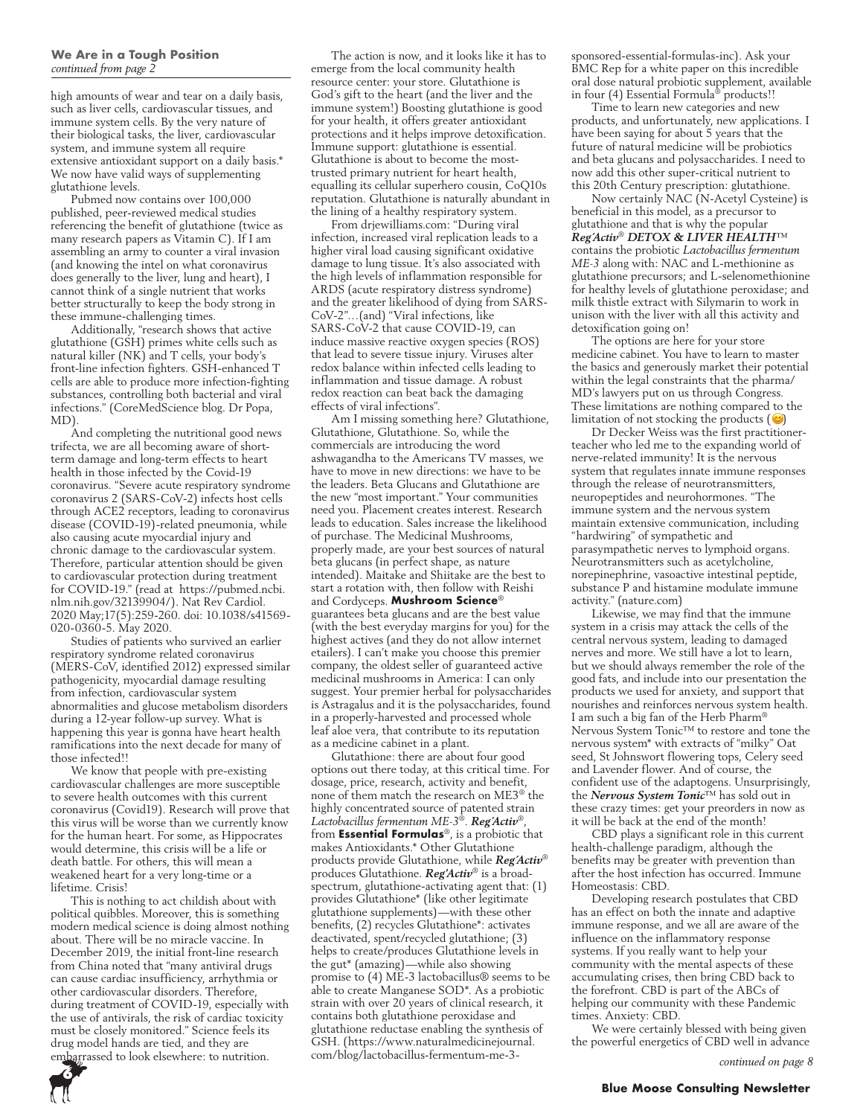high amounts of wear and tear on a daily basis, such as liver cells, cardiovascular tissues, and immune system cells. By the very nature of their biological tasks, the liver, cardiovascular system, and immune system all require extensive antioxidant support on a daily basis.\* We now have valid ways of supplementing glutathione levels.

Pubmed now contains over 100,000 published, peer-reviewed medical studies referencing the benefit of glutathione (twice as many research papers as Vitamin C). If I am assembling an army to counter a viral invasion (and knowing the intel on what coronavirus does generally to the liver, lung and heart), I cannot think of a single nutrient that works better structurally to keep the body strong in these immune-challenging times.

Additionally, "research shows that active glutathione (GSH) primes white cells such as natural killer (NK) and T cells, your body's front-line infection fighters. GSH-enhanced T cells are able to produce more infection-fighting substances, controlling both bacterial and viral infections." (CoreMedScience blog. Dr Popa, MD).

And completing the nutritional good news trifecta, we are all becoming aware of shortterm damage and long-term effects to heart health in those infected by the Covid-19 coronavirus. "Severe acute respiratory syndrome coronavirus 2 (SARS-CoV-2) infects host cells through ACE2 receptors, leading to coronavirus disease (COVID-19)-related pneumonia, while also causing acute myocardial injury and chronic damage to the cardiovascular system. Therefore, particular attention should be given to cardiovascular protection during treatment for COVID-19." (read at https://pubmed.ncbi. nlm.nih.gov/32139904/). Nat Rev Cardiol. 2020 May;17(5):259-260. doi: 10.1038/s41569- 020-0360-5. May 2020.

Studies of patients who survived an earlier respiratory syndrome related coronavirus (MERS-CoV, identified 2012) expressed similar pathogenicity, myocardial damage resulting from infection, cardiovascular system abnormalities and glucose metabolism disorders during a 12-year follow-up survey. What is happening this year is gonna have heart health ramifications into the next decade for many of those infected!!

We know that people with pre-existing cardiovascular challenges are more susceptible to severe health outcomes with this current coronavirus (Covid19). Research will prove that this virus will be worse than we currently know for the human heart. For some, as Hippocrates would determine, this crisis will be a life or death battle. For others, this will mean a weakened heart for a very long-time or a lifetime. Crisis!

This is nothing to act childish about with political quibbles. Moreover, this is something modern medical science is doing almost nothing about. There will be no miracle vaccine. In December 2019, the initial front-line research from China noted that "many antiviral drugs can cause cardiac insufficiency, arrhythmia or other cardiovascular disorders. Therefore, during treatment of COVID-19, especially with the use of antivirals, the risk of cardiac toxicity must be closely monitored." Science feels its drug model hands are tied, and they are embarrassed to look elsewhere: to nutrition.

**6**

The action is now, and it looks like it has to emerge from the local community health resource center: your store. Glutathione is God's gift to the heart (and the liver and the immune system!) Boosting glutathione is good for your health, it offers greater antioxidant protections and it helps improve detoxification. Immune support: glutathione is essential. Glutathione is about to become the mosttrusted primary nutrient for heart health, equalling its cellular superhero cousin, CoQ10s reputation. Glutathione is naturally abundant in the lining of a healthy respiratory system.

From drjewilliams.com: "During viral infection, increased viral replication leads to a higher viral load causing significant oxidative damage to lung tissue. It's also associated with the high levels of inflammation responsible for ARDS (acute respiratory distress syndrome) and the greater likelihood of dying from SARS-CoV-2"…(and) "Viral infections, like SARS-CoV-2 that cause COVID-19, can induce massive reactive oxygen species (ROS) that lead to severe tissue injury. Viruses alter redox balance within infected cells leading to inflammation and tissue damage. A robust redox reaction can beat back the damaging effects of viral infections".

Am I missing something here? Glutathione, Glutathione, Glutathione. So, while the commercials are introducing the word ashwagandha to the Americans TV masses, we have to move in new directions: we have to be the leaders. Beta Glucans and Glutathione are the new "most important." Your communities need you. Placement creates interest. Research leads to education. Sales increase the likelihood of purchase. The Medicinal Mushrooms, properly made, are your best sources of natural beta glucans (in perfect shape, as nature intended). Maitake and Shiitake are the best to start a rotation with, then follow with Reishi and Cordyceps. **Mushroom Science**® guarantees beta glucans and are the best value (with the best everyday margins for you) for the highest actives (and they do not allow internet etailers). I can't make you choose this premier company, the oldest seller of guaranteed active medicinal mushrooms in America: I can only suggest. Your premier herbal for polysaccharides is Astragalus and it is the polysaccharides, found in a properly-harvested and processed whole leaf aloe vera, that contribute to its reputation as a medicine cabinet in a plant.

Glutathione: there are about four good options out there today, at this critical time. For dosage, price, research, activity and benefit, none of them match the research on ME3® the highly concentrated source of patented strain *Lactobacillus fermentum ME-3*®. *Reg´Activ*®, from **Essential Formulas**®, is a probiotic that makes Antioxidants.\* Other Glutathione products provide Glutathione, while *Reg´Activ*® produces Glutathione. *Reg'Activ*® is a broadspectrum, glutathione-activating agent that: (1) provides Glutathione\* (like other legitimate glutathione supplements)—with these other benefits, (2) recycles Glutathione\*: activates deactivated, spent/recycled glutathione; (3) helps to create/produces Glutathione levels in the gut\* (amazing)—while also showing promise to (4) ME-3 lactobacillus® seems to be able to create Manganese SOD\*. As a probiotic strain with over 20 years of clinical research, it contains both glutathione peroxidase and glutathione reductase enabling the synthesis of GSH. (https://www.naturalmedicinejournal. com/blog/lactobacillus-fermentum-me-3sponsored-essential-formulas-inc). Ask your BMC Rep for a white paper on this incredible oral dose natural probiotic supplement, available in four (4) Essential Formula<sup>®</sup> products!!

Time to learn new categories and new products, and unfortunately, new applications. I have been saying for about 5 years that the future of natural medicine will be probiotics and beta glucans and polysaccharides. I need to now add this other super-critical nutrient to this 20th Century prescription: glutathione.

Now certainly NAC (N-Acetyl Cysteine) is beneficial in this model, as a precursor to glutathione and that is why the popular *Reg´Activ*® *DETOX & LIVER HEALTH*™ contains the probiotic *Lactobacillus fermentum ME-3* along with: NAC and L-methionine as glutathione precursors; and L-selenomethionine for healthy levels of glutathione peroxidase; and milk thistle extract with Silymarin to work in unison with the liver with all this activity and detoxification going on!

The options are here for your store medicine cabinet. You have to learn to master the basics and generously market their potential within the legal constraints that the pharma/ MD's lawyers put on us through Congress. These limitations are nothing compared to the limitation of not stocking the products  $(\circledcirc)$ 

Dr Decker Weiss was the first practitionerteacher who led me to the expanding world of nerve-related immunity! It is the nervous system that regulates innate immune responses through the release of neurotransmitters, neuropeptides and neurohormones. "The immune system and the nervous system maintain extensive communication, including "hardwiring" of sympathetic and parasympathetic nerves to lymphoid organs. Neurotransmitters such as acetylcholine, norepinephrine, vasoactive intestinal peptide, substance P and histamine modulate immune activity." (nature.com)

Likewise, we may find that the immune system in a crisis may attack the cells of the central nervous system, leading to damaged nerves and more. We still have a lot to learn, but we should always remember the role of the good fats, and include into our presentation the products we used for anxiety, and support that nourishes and reinforces nervous system health. I am such a big fan of the Herb Pharm® Nervous System Tonic™ to restore and tone the nervous system\* with extracts of "milky" Oat seed, St Johnswort flowering tops, Celery seed and Lavender flower. And of course, the confident use of the adaptogens. Unsurprisingly, the *Nervous System Tonic*™ has sold out in these crazy times: get your preorders in now as it will be back at the end of the month!

CBD plays a significant role in this current health-challenge paradigm, although the benefits may be greater with prevention than after the host infection has occurred. Immune Homeostasis: CBD.

Developing research postulates that CBD has an effect on both the innate and adaptive immune response, and we all are aware of the influence on the inflammatory response systems. If you really want to help your community with the mental aspects of these accumulating crises, then bring CBD back to the forefront. CBD is part of the ABCs of helping our community with these Pandemic times. Anxiety: CBD.

We were certainly blessed with being given the powerful energetics of CBD well in advance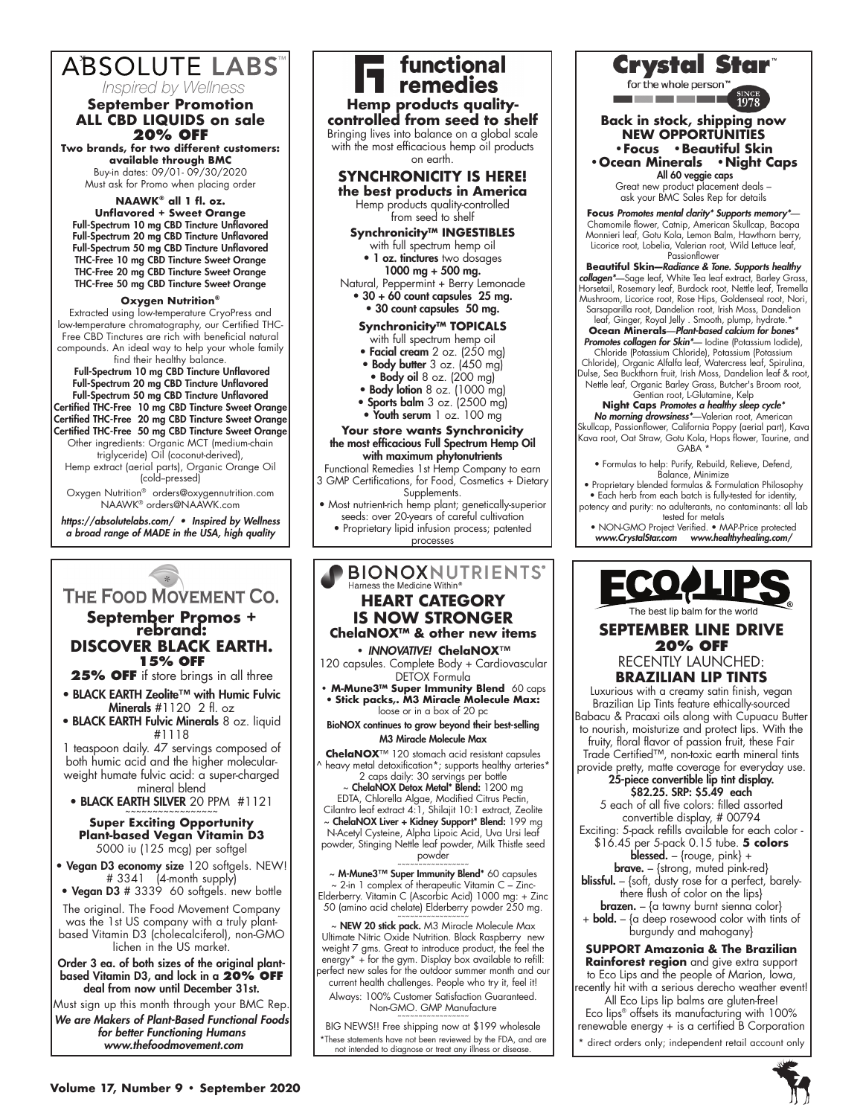## ABSOLUTE LABS

#### **September Promotion ALL CBD LIQUIDS on sale** *Inspired by Wellness*

**20% OFF Two brands, for two different customers: available through BMC**

Buy-in dates: 09/01- 09/30/2020 Must ask for Promo when placing order

**NAAWK® all 1 fl. oz.** 

**Unflavored + Sweet Orange** Full-Spectrum 10 mg CBD Tincture Unflavored Full-Spectrum 20 mg CBD Tincture Unflavored Full-Spectrum 50 mg CBD Tincture Unflavored THC-Free 10 mg CBD Tincture Sweet Orange THC-Free 20 mg CBD Tincture Sweet Orange THC-Free 50 mg CBD Tincture Sweet Orange

### **Oxygen Nutrition®**

Extracted using low-temperature CryoPress and low-temperature chromatography, our Certified THC-Free CBD Tinctures are rich with beneficial natural compounds. An ideal way to help your whole family find their healthy balance.

Full-Spectrum 10 mg CBD Tincture Unflavored Full-Spectrum 20 mg CBD Tincture Unflavored Full-Spectrum 50 mg CBD Tincture Unflavored Certified THC-Free 10 mg CBD Tincture Sweet Orange Certified THC-Free 20 mg CBD Tincture Sweet Orange Certified THC-Free 50 mg CBD Tincture Sweet Orange Other ingredients: Organic MCT (medium-chain triglyceride) Oil (coconut-derived),

Hemp extract (aerial parts), Organic Orange Oil (cold--pressed)

Oxygen Nutrition® orders@oxygennutrition.com NAAWK® orders@NAAWK.com

*https://absolutelabs.com/ • Inspired by Wellness a broad range of MADE in the USA, high quality*

## THE FOOD MOVEMENT CO.

## **September Promos + rebrand: DISCOVER BLACK EARTH. 15% OFF**

**25% OFF** if store brings in all three

- BLACK EARTH Zeolite™ with Humic Fulvic Minerals  $#1120$  2 fl. oz
- BLACK EARTH Fulvic Minerals 8 oz. liquid #1118

1 teaspoon daily. 47 servings composed of both humic acid and the higher molecularweight humate fulvic acid: a super-charged mineral blend

• BLACK EARTH SILVER 20 PPM #1121

#### **Super Exciting Opportunity Plant-based Vegan Vitamin D3** 5000 iu (125 mcg) per softgel

• Vegan D3 economy size 120 softgels. NEW! # 3341 (4-month supply)

• **Vegan D3** # 3339 60 softgels. new bottle The original. The Food Movement Company was the 1st US company with a truly plantbased Vitamin D3 (cholecalciferol), non-GMO lichen in the US market.

Order 3 ea. of both sizes of the original plantbased Vitamin D3, and lock in a **20% OFF**  deal from now until December 31st.

Must sign up this month through your BMC Rep. *We are Makers of Plant-Based Functional Foods for better Functioning Humans www.thefoodmovement.com*

sunctional<br>Surfamedies **Hemp products qualitycontrolled from seed to shelf** Bringing lives into balance on a global scale with the most efficacious hemp oil products on earth. **SYNCHRONICITY IS HERE! the best products in America** Hemp products quality-controlled from seed to shelf **Synchronicity™ INGESTIBLES** with full spectrum hemp oil • 1 oz. tinctures two dosages 1000 mg + 500 mg. Natural, Peppermint + Berry Lemonade • 30 + 60 count capsules 25 mg. • 30 count capsules 50 mg. **Synchronicity™ TOPICALS** with full spectrum hemp oil • Facial cream 2 oz. (250 mg) • Body butter 3 oz. (450 mg) • Body oil 8 oz. (200 mg) • Body lotion 8 oz. (1000 mg) • Sports balm 3 oz. (2500 mg) • Youth serum 1 oz. 100 mg **Your store wants Synchronicity** the most efficacious Full Spectrum Hemp Oil with maximum phytonutrients Functional Remedies 1st Hemp Company to earn 3 GMP Certifications, for Food, Cosmetics + Dietary Supplements. • Most nutrient-rich hemp plant; genetically-superior seeds: over 20-years of careful cultivation

• Proprietary lipid infusion process; patented processes

# **BIONOXNUTRIENTS**

### **HEART CATEGORY IS NOW STRONGER ChelaNOX™ & other new items**

**•** *INNOVATIVE!* **ChelaNOX**™

120 capsules. Complete Body + Cardiovascular DETOX Formula

**• M-Mune3™ Super Immunity Blend** 60 caps • **Stick packs,. M3 Miracle Molecule Max:**  loose or in a box of 20 pc

BioNOX continues to grow beyond their best-selling M3 Miracle Molecule Max

**ChelaNOX**™ 120 stomach acid resistant capsules heavy metal detoxification\*; supports healthy arteries\* 2 caps daily: 30 servings per bottle

ChelaNOX Detox Metal\* Blend: 1200 mg EDTA, Chlorella Algae, Modified Citrus Pectin,

Cilantro leaf extract 4:1, Shilajit 10:1 extract, Zeolite  $\sim$  ChelaNOX Liver + Kidney Support\* Blend: 199 mg

N-Acetyl Cysteine, Alpha Lipoic Acid, Uva Ursi leaf powder, Stinging Nettle leaf powder, Milk Thistle seed powder

~ M-Mune3™ Super Immunity Blend\* 60 capsules 2-in 1 complex of therapeutic Vitamin C - Zinc-Elderberry. Vitamin C (Ascorbic Acid) 1000 mg: + Zinc 50 (amino acid chelate) Elderberry powder 250 mg.

~ NEW 20 stick pack. M3 Miracle Molecule Max Ultimate Nitric Oxide Nutrition. Black Raspberry new weight 7 gms. Great to introduce product, the feel the energy\* + for the gym. Display box available to refill: perfect new sales for the outdoor summer month and our current health challenges. People who try it, feel it! Always: 100% Customer Satisfaction Guaranteed.

Non-GMO. GMP Manufacture

BIG NEWS!! Free shipping now at \$199 wholesale \*These statements have not been reviewed by the FDA, and are not intended to diagnose or treat any illness or disease.

**Crystal Star** 

for the whole person <u> Tanzania de la Tanzania de la Tanzania de la Tanzania de la Tanzania de la Tanzania de la Tanzania de la Tanzania de la Tanzania de la Tanzania de la Tanzania de la Tanzania de la Tanzania de la Tanzania de la Tanzania d</u>

#### **Back in stock, shipping now NEW OPPORTUNITIES •Focus •Beautiful Skin •Ocean Minerals •Night Caps**

 All 60 veggie caps Great new product placement deals – ask your BMC Sales Rep for details

**Focus** *Promotes mental clarity\* Supports memory\**— Chamomile flower, Catnip, American Skullcap, Bacopa Monnieri leaf, Gotu Kola, Lemon Balm, Hawthorn berry, Licorice root, Lobelia, Valerian root, Wild Lettuce leaf,

Passionflower **Beautiful Skin—***Radiance & Tone. Supports healthy collagen\**—Sage leaf, White Tea leaf extract, Barley Grass, Horsetail, Rosemary leaf, Burdock root, Nettle leaf, Tremella Mushroom, Licorice root, Rose Hips, Goldenseal root, Nori, Sarsaparilla root, Dandelion root, Irish Moss, Dandelion leaf, Ginger, Royal Jelly . Smooth, plump, hydrate.'

**Ocean Minerals**—*Plant-based calcium for bones\* Promotes collagen for Skin\**— Iodine (Potassium Iodide), Chloride (Potassium Chloride), Potassium (Potassium Chloride), Organic Alfalfa leaf, Watercress leaf, Spirulina, Dulse, Sea Buckthorn fruit, Irish Moss, Dandelion leaf & root, Nettle leaf, Organic Barley Grass, Butcher's Broom root, Gentian root, L-Glutamine, Kelp

**Night Caps** *Promotes a healthy sleep cycle\* No morning drowsiness\**—Valerian root, American Skullcap, Passionflower, California Poppy (aerial part), Kava Kava root, Oat Straw, Gotu Kola, Hops flower, Taurine, and GABA \*

• Formulas to help: Purify, Rebuild, Relieve, Defend, Balance, Minimize

• Proprietary blended formulas & Formulation Philosophy • Each herb from each batch is fully-tested for identity, potency and purity: no adulterants, no contaminants: all lab tested for metals

• NON-GMO Project Verified. • MAP-Price protected *www.CrystalStar.com www.healthyhealing.com/*



### **SEPTEMBER LINE DRIVE 20% OFF** RECENTLY LAUNCHED:

**BRAZILIAN LIP TINTS**

Luxurious with a creamy satin finish, vegan Brazilian Lip Tints feature ethically-sourced Babacu & Pracaxi oils along with Cupuacu Butter to nourish, moisturize and protect lips. With the fruity, floral flavor of passion fruit, these Fair Trade Certified™, non-toxic earth mineral tints provide pretty, matte coverage for everyday use.

#### 25-piece convertible lip tint display. \$82.25. SRP: \$5.49 each

5 each of all five colors: filled assorted convertible display, # 00794 Exciting: 5-pack refills available for each color -

\$16.45 per 5-pack 0.15 tube. **5 colors** blessed. – {rouge, pink} +

brave. – {strong, muted pink-red} **blissful.** – {soft, dusty rose for a perfect, barelythere flush of color on the lips}

brazen. – {a tawny burnt sienna color}  $+$  **bold.** – {a deep rosewood color with tints of burgundy and mahogany}

**SUPPORT Amazonia & The Brazilian Rainforest region** and give extra support to Eco Lips and the people of Marion, Iowa, recently hit with a serious derecho weather event!

All Eco Lips lip balms are gluten-free! Eco lips® offsets its manufacturing with 100% renewable energy + is a certified B Corporation

direct orders only; independent retail account only

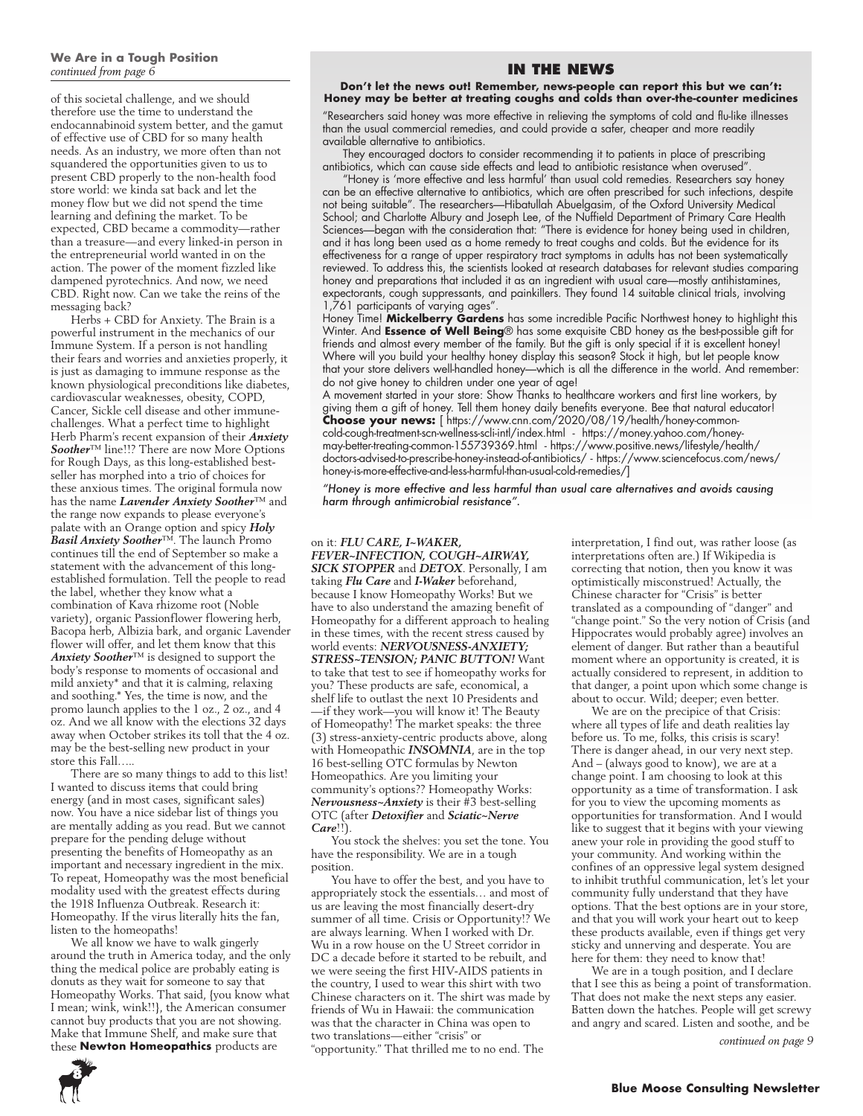of this societal challenge, and we should therefore use the time to understand the endocannabinoid system better, and the gamut of effective use of CBD for so many health needs. As an industry, we more often than not squandered the opportunities given to us to present CBD properly to the non-health food store world: we kinda sat back and let the money flow but we did not spend the time learning and defining the market. To be expected, CBD became a commodity—rather than a treasure—and every linked-in person in the entrepreneurial world wanted in on the action. The power of the moment fizzled like dampened pyrotechnics. And now, we need CBD. Right now. Can we take the reins of the messaging back?

Herbs + CBD for Anxiety. The Brain is a powerful instrument in the mechanics of our Immune System. If a person is not handling their fears and worries and anxieties properly, it is just as damaging to immune response as the known physiological preconditions like diabetes, cardiovascular weaknesses, obesity, COPD, Cancer, Sickle cell disease and other immunechallenges. What a perfect time to highlight Herb Pharm's recent expansion of their *Anxiety Soother*™ line!!? There are now More Options for Rough Days, as this long-established bestseller has morphed into a trio of choices for these anxious times. The original formula now has the name *Lavender Anxiety Soother*™ and the range now expands to please everyone's palate with an Orange option and spicy *Holy Basil Anxiety Soother™*. The launch Promo continues till the end of September so make a statement with the advancement of this longestablished formulation. Tell the people to read the label, whether they know what a combination of Kava rhizome root (Noble variety), organic Passionflower flowering herb, Bacopa herb, Albizia bark, and organic Lavender flower will offer, and let them know that this *Anxiety Soother*™ is designed to support the body's response to moments of occasional and mild anxiety\* and that it is calming, relaxing and soothing.\* Yes, the time is now, and the promo launch applies to the 1 oz., 2 oz., and 4 oz. And we all know with the elections 32 days away when October strikes its toll that the 4 oz. may be the best-selling new product in your store this Fall…..

There are so many things to add to this list! I wanted to discuss items that could bring energy (and in most cases, significant sales) now. You have a nice sidebar list of things you are mentally adding as you read. But we cannot prepare for the pending deluge without presenting the benefits of Homeopathy as an important and necessary ingredient in the mix. To repeat, Homeopathy was the most beneficial modality used with the greatest effects during the 1918 Influenza Outbreak. Research it: Homeopathy. If the virus literally hits the fan, listen to the homeopaths!

We all know we have to walk gingerly around the truth in America today, and the only thing the medical police are probably eating is donuts as they wait for someone to say that Homeopathy Works. That said, {you know what I mean; wink, wink!!}, the American consumer cannot buy products that you are not showing. Make that Immune Shelf, and make sure that these **Newton Homeopathics** products are

### **IN THE NEWS**

#### **Don't let the news out! Remember, news-people can report this but we can't: Honey may be better at treating coughs and colds than over-the-counter medicines**

"Researchers said honey was more effective in relieving the symptoms of cold and flu-like illnesses than the usual commercial remedies, and could provide a safer, cheaper and more readily available alternative to antibiotics.

They encouraged doctors to consider recommending it to patients in place of prescribing antibiotics, which can cause side effects and lead to antibiotic resistance when overused".

"Honey is 'more effective and less harmful' than usual cold remedies. Researchers say honey can be an effective alternative to antibiotics, which are often prescribed for such infections, despite not being suitable". The researchers—Hibatullah Abuelgasim, of the Oxford University Medical School; and Charlotte Albury and Joseph Lee, of the Nuffield Department of Primary Care Health Sciences—began with the consideration that: "There is evidence for honey being used in children, and it has long been used as a home remedy to treat coughs and colds. But the evidence for its effectiveness for a range of upper respiratory tract symptoms in adults has not been systematically reviewed. To address this, the scientists looked at research databases for relevant studies comparing honey and preparations that included it as an ingredient with usual care—mostly antihistamines, expectorants, cough suppressants, and painkillers. They found 14 suitable clinical trials, involving 1,761 participants of varying ages".

Honey Time! **Mickelberry Gardens** has some incredible Pacific Northwest honey to highlight this Winter. And **Essence of Well Being**® has some exquisite CBD honey as the best-possible gift for friends and almost every member of the family. But the gift is only special if it is excellent honey! Where will you build your healthy honey display this season? Stock it high, but let people know that your store delivers well-handled honey—which is all the difference in the world. And remember: do not give honey to children under one year of age!

A movement started in your store: Show Thanks to healthcare workers and first line workers, by giving them a gift of honey. Tell them honey daily benefits everyone. Bee that natural educator! **Choose your news:** [ https://www.cnn.com/2020/08/19/health/honey-commoncold-cough-treatment-scn-wellness-scli-intl/index.html - https://money.yahoo.com/honeymay-better-treating-common-155739369.html - https://www.positive.news/lifestyle/health/ doctors-advised-to-prescribe-honey-instead-of-antibiotics/ - https://www.sciencefocus.com/news/ honey-is-more-effective-and-less-harmful-than-usual-cold-remedies/]

*"Honey is more effective and less harmful than usual care alternatives and avoids causing harm through antimicrobial resistance".*

#### on it: *FLU CARE, I~WAKER,*

*FEVER~INFECTION, COUGH~AIRWAY, SICK STOPPER* and *DETOX*. Personally, I am taking *Flu Care* and *I-Waker* beforehand, because I know Homeopathy Works! But we have to also understand the amazing benefit of Homeopathy for a different approach to healing in these times, with the recent stress caused by world events: *NERVOUSNESS-ANXIETY; STRESS~TENSION; PANIC BUTTON!* Want to take that test to see if homeopathy works for you? These products are safe, economical, a shelf life to outlast the next 10 Presidents and —if they work—you will know it! The Beauty of Homeopathy! The market speaks: the three (3) stress-anxiety-centric products above, along with Homeopathic *INSOMNIA*, are in the top 16 best-selling OTC formulas by Newton Homeopathics. Are you limiting your community's options?? Homeopathy Works: *Nervousness~Anxiety* is their #3 best-selling OTC (after *Detoxifier* and *Sciatic~Nerve Care*!!).

You stock the shelves: you set the tone. You have the responsibility. We are in a tough position.

You have to offer the best, and you have to appropriately stock the essentials… and most of us are leaving the most financially desert-dry summer of all time. Crisis or Opportunity!? We are always learning. When I worked with Dr. Wu in a row house on the U Street corridor in DC a decade before it started to be rebuilt, and we were seeing the first HIV-AIDS patients in the country, I used to wear this shirt with two Chinese characters on it. The shirt was made by friends of Wu in Hawaii: the communication was that the character in China was open to two translations—either "crisis" or "opportunity." That thrilled me to no end. The

interpretation, I find out, was rather loose (as interpretations often are.) If Wikipedia is correcting that notion, then you know it was optimistically misconstrued! Actually, the Chinese character for "Crisis" is better translated as a compounding of "danger" and "change point." So the very notion of Crisis (and Hippocrates would probably agree) involves an element of danger. But rather than a beautiful moment where an opportunity is created, it is actually considered to represent, in addition to that danger, a point upon which some change is about to occur. Wild; deeper; even better.

We are on the precipice of that Crisis: where all types of life and death realities lay before us. To me, folks, this crisis is scary! There is danger ahead, in our very next step. And – (always good to know), we are at a change point. I am choosing to look at this opportunity as a time of transformation. I ask for you to view the upcoming moments as opportunities for transformation. And I would like to suggest that it begins with your viewing anew your role in providing the good stuff to your community. And working within the confines of an oppressive legal system designed to inhibit truthful communication, let's let your community fully understand that they have options. That the best options are in your store, and that you will work your heart out to keep these products available, even if things get very sticky and unnerving and desperate. You are here for them: they need to know that!

We are in a tough position, and I declare that I see this as being a point of transformation. That does not make the next steps any easier. Batten down the hatches. People will get screwy and angry and scared. Listen and soothe, and be

*continued on page 9*

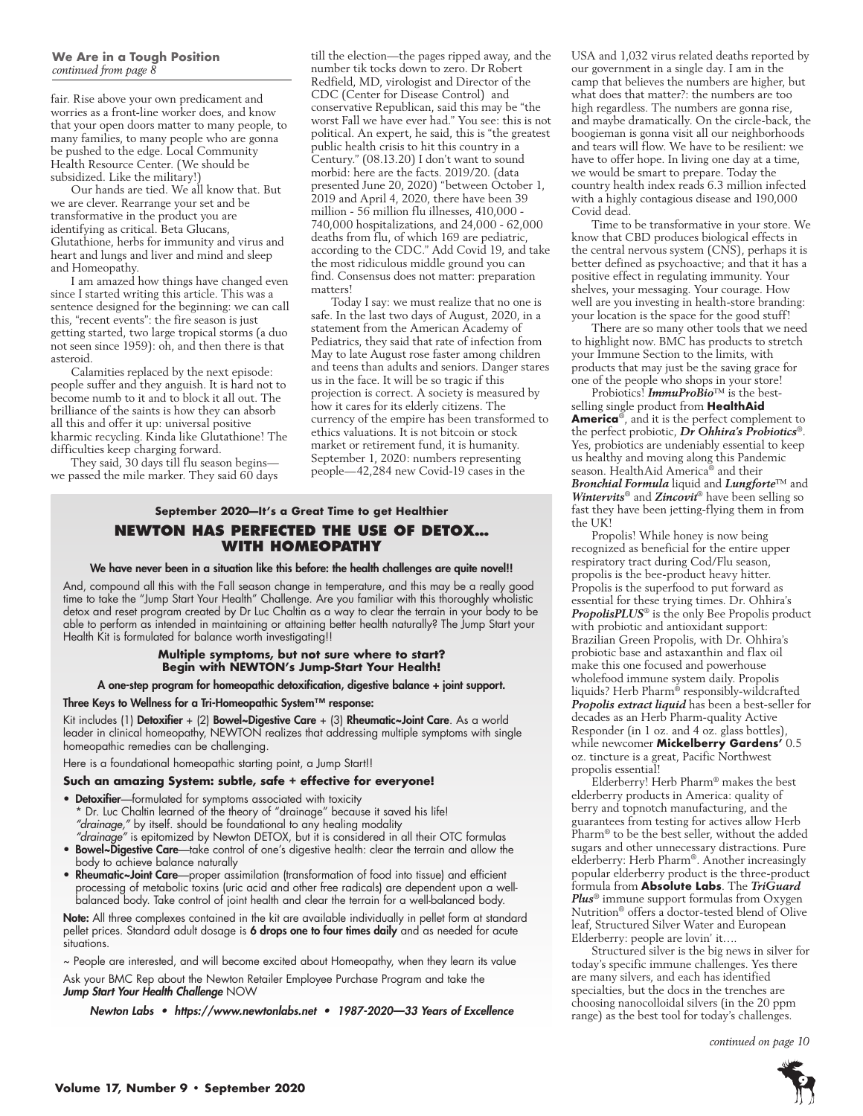fair. Rise above your own predicament and worries as a front-line worker does, and know that your open doors matter to many people, to many families, to many people who are gonna be pushed to the edge. Local Community Health Resource Center. (We should be subsidized. Like the military!)

Our hands are tied. We all know that. But we are clever. Rearrange your set and be transformative in the product you are identifying as critical. Beta Glucans, Glutathione, herbs for immunity and virus and heart and lungs and liver and mind and sleep and Homeopathy.

I am amazed how things have changed even since I started writing this article. This was a sentence designed for the beginning: we can call this, "recent events": the fire season is just getting started, two large tropical storms (a duo not seen since 1959): oh, and then there is that asteroid.

Calamities replaced by the next episode: people suffer and they anguish. It is hard not to become numb to it and to block it all out. The brilliance of the saints is how they can absorb all this and offer it up: universal positive kharmic recycling. Kinda like Glutathione! The difficulties keep charging forward.

They said, 30 days till flu season begins we passed the mile marker. They said 60 days till the election—the pages ripped away, and the number tik tocks down to zero. Dr Robert Redfield, MD, virologist and Director of the CDC (Center for Disease Control) and conservative Republican, said this may be "the worst Fall we have ever had." You see: this is not political. An expert, he said, this is "the greatest public health crisis to hit this country in a Century." (08.13.20) I don't want to sound morbid: here are the facts. 2019/20. (data presented June 20, 2020) "between October 1, 2019 and April 4, 2020, there have been 39 million - 56 million flu illnesses, 410,000 - 740,000 hospitalizations, and 24,000 - 62,000 deaths from flu, of which 169 are pediatric, according to the CDC." Add Covid 19, and take the most ridiculous middle ground you can find. Consensus does not matter: preparation matters!

Today I say: we must realize that no one is safe. In the last two days of August, 2020, in a statement from the American Academy of Pediatrics, they said that rate of infection from May to late August rose faster among children and teens than adults and seniors. Danger stares us in the face. It will be so tragic if this projection is correct. A society is measured by how it cares for its elderly citizens. The currency of the empire has been transformed to ethics valuations. It is not bitcoin or stock market or retirement fund, it is humanity. September 1, 2020: numbers representing people—42,284 new Covid-19 cases in the

### **September 2020—It's a Great Time to get Healthier NEWTON HAS PERFECTED THE USE OF DETOX… WITH HOMEOPATHY**

#### We have never been in a situation like this before: the health challenges are quite novel!!

And, compound all this with the Fall season change in temperature, and this may be a really good time to take the "Jump Start Your Health" Challenge. Are you familiar with this thoroughly wholistic detox and reset program created by Dr Luc Chaltin as a way to clear the terrain in your body to be able to perform as intended in maintaining or attaining better health naturally? The Jump Start your Health Kit is formulated for balance worth investigating!!

#### **Multiple symptoms, but not sure where to start? Begin with NEWTON's Jump-Start Your Health!**

#### A one-step program for homeopathic detoxification, digestive balance + joint support.

Three Keys to Wellness for a Tri-Homeopathic System™ response:

Kit includes (1) Detoxifier + (2) Bowel~Digestive Care + (3) Rheumatic~Joint Care. As a world leader in clinical homeopathy, NEWTON realizes that addressing multiple symptoms with single homeopathic remedies can be challenging.

Here is a foundational homeopathic starting point, a Jump Start!!

#### **Such an amazing System: subtle, safe + effective for everyone!**

- Detoxifier-formulated for symptoms associated with toxicity
- Dr. Luc Chaltin learned of the theory of "drainage" because it saved his life! *"drainage,"* by itself. should be foundational to any healing modality
- *"drainage"* is epitomized by Newton DETOX, but it is considered in all their OTC formulas • Bowel~Digestive Care—take control of one's digestive health: clear the terrain and allow the body to achieve balance naturally
- Rheumatic~Joint Care—proper assimilation (transformation of food into tissue) and efficient processing of metabolic toxins (uric acid and other free radicals) are dependent upon a wellbalanced body. Take control of joint health and clear the terrain for a well-balanced body.

Note: All three complexes contained in the kit are available individually in pellet form at standard pellet prices. Standard adult dosage is 6 drops one to four times daily and as needed for acute situations.

~ People are interested, and will become excited about Homeopathy, when they learn its value Ask your BMC Rep about the Newton Retailer Employee Purchase Program and take the *Jump Start Your Health Challenge* NOW

*Newton Labs • https://www.newtonlabs.net • 1987-2020—33 Years of Excellence*

USA and 1,032 virus related deaths reported by our government in a single day. I am in the camp that believes the numbers are higher, but what does that matter?: the numbers are too high regardless. The numbers are gonna rise, and maybe dramatically. On the circle-back, the boogieman is gonna visit all our neighborhoods and tears will flow. We have to be resilient: we have to offer hope. In living one day at a time, we would be smart to prepare. Today the country health index reads 6.3 million infected with a highly contagious disease and 190,000 Covid dead.

Time to be transformative in your store. We know that CBD produces biological effects in the central nervous system (CNS), perhaps it is better defined as psychoactive; and that it has a positive effect in regulating immunity. Your shelves, your messaging. Your courage. How well are you investing in health-store branding: your location is the space for the good stuff!

There are so many other tools that we need to highlight now. BMC has products to stretch your Immune Section to the limits, with products that may just be the saving grace for one of the people who shops in your store!

Probiotics! *ImmuProBio*™ is the bestselling single product from **HealthAid America**®, and it is the perfect complement to the perfect probiotic, *Dr Ohhira's Probiotics*®. Yes, probiotics are undeniably essential to keep us healthy and moving along this Pandemic season. HealthAid America<sup>®</sup> and their *Bronchial Formula* liquid and *Lungforte*™ and *Wintervits*® and *Zincovit*® have been selling so fast they have been jetting-flying them in from the UK!

Propolis! While honey is now being recognized as beneficial for the entire upper respiratory tract during Cod/Flu season, propolis is the bee-product heavy hitter. Propolis is the superfood to put forward as essential for these trying times. Dr. Ohhira's *PropolisPLUS*® is the only Bee Propolis product with probiotic and antioxidant support: Brazilian Green Propolis, with Dr. Ohhira's probiotic base and astaxanthin and flax oil make this one focused and powerhouse wholefood immune system daily. Propolis liquids? Herb Pharm® responsibly-wildcrafted *Propolis extract liquid* has been a best-seller for decades as an Herb Pharm-quality Active Responder (in 1 oz. and 4 oz. glass bottles), while newcomer **Mickelberry Gardens'** 0.5 oz. tincture is a great, Pacific Northwest propolis essential!

Elderberry! Herb Pharm® makes the best elderberry products in America: quality of berry and topnotch manufacturing, and the guarantees from testing for actives allow Herb Pharm® to be the best seller, without the added sugars and other unnecessary distractions. Pure elderberry: Herb Pharm®. Another increasingly popular elderberry product is the three-product formula from **Absolute Labs**. The *TriGuard Plus*® immune support formulas from Oxygen Nutrition® offers a doctor-tested blend of Olive leaf, Structured Silver Water and European Elderberry: people are lovin' it….

Structured silver is the big news in silver for today's specific immune challenges. Yes there are many silvers, and each has identified specialties, but the docs in the trenches are choosing nanocolloidal silvers (in the 20 ppm range) as the best tool for today's challenges.

*continued on page 10*